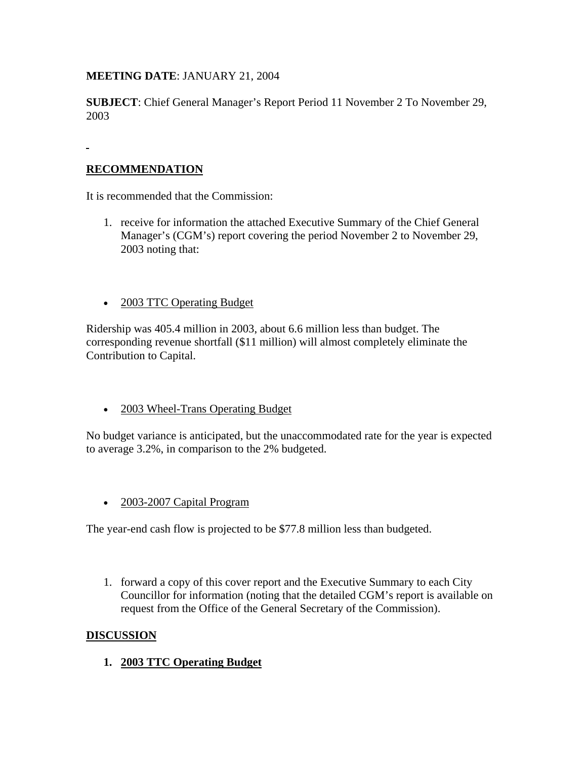**MEETING DATE**: JANUARY 21, 2004

**SUBJECT**: Chief General Manager's Report Period 11 November 2 To November 29, 2003

## **RECOMMENDATION**

It is recommended that the Commission:

- 1. receive for information the attached Executive Summary of the Chief General Manager's (CGM's) report covering the period November 2 to November 29, 2003 noting that:
- 2003 TTC Operating Budget

Ridership was 405.4 million in 2003, about 6.6 million less than budget. The corresponding revenue shortfall (\$11 million) will almost completely eliminate the Contribution to Capital.

• 2003 Wheel-Trans Operating Budget

No budget variance is anticipated, but the unaccommodated rate for the year is expected to average 3.2%, in comparison to the 2% budgeted.

• 2003-2007 Capital Program

The year-end cash flow is projected to be \$77.8 million less than budgeted.

1. forward a copy of this cover report and the Executive Summary to each City Councillor for information (noting that the detailed CGM's report is available on request from the Office of the General Secretary of the Commission).

### **DISCUSSION**

**1. 2003 TTC Operating Budget**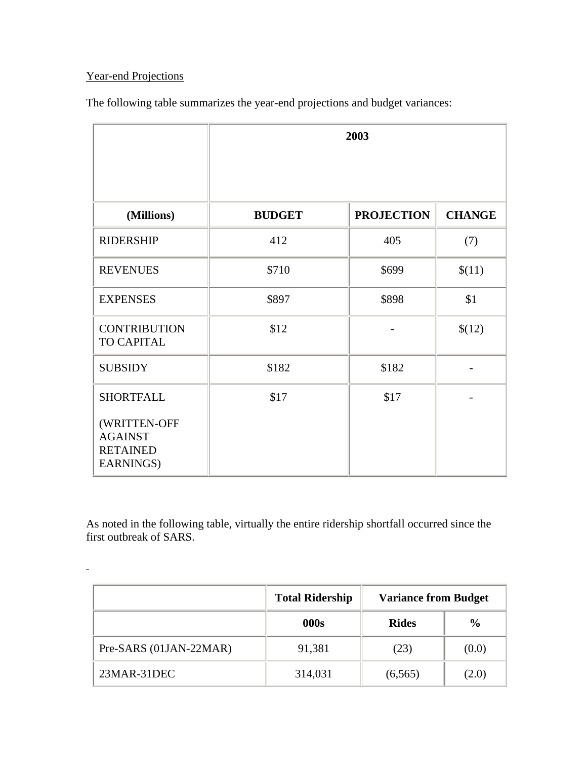# Year-end Projections

 $\frac{1}{2}$ 

The following table summarizes the year-end projections and budget variances:

|                                                                | 2003          |                   |               |
|----------------------------------------------------------------|---------------|-------------------|---------------|
|                                                                |               |                   |               |
| (Millions)                                                     | <b>BUDGET</b> | <b>PROJECTION</b> | <b>CHANGE</b> |
| <b>RIDERSHIP</b>                                               | 412           | 405               | (7)           |
| <b>REVENUES</b>                                                | \$710         | \$699             | \$(11)        |
| <b>EXPENSES</b>                                                | \$897         | \$898             | \$1           |
| <b>CONTRIBUTION</b><br>TO CAPITAL                              | \$12          |                   | \$(12)        |
| <b>SUBSIDY</b>                                                 | \$182         | \$182             |               |
| <b>SHORTFALL</b>                                               | \$17          | \$17              |               |
| (WRITTEN-OFF<br><b>AGAINST</b><br><b>RETAINED</b><br>EARNINGS) |               |                   |               |

As noted in the following table, virtually the entire ridership shortfall occurred since the first outbreak of SARS.

|                        | <b>Total Ridership</b> | <b>Variance from Budget</b> |               |
|------------------------|------------------------|-----------------------------|---------------|
|                        | 000s                   | <b>Rides</b>                | $\frac{6}{6}$ |
| Pre-SARS (01JAN-22MAR) | 91,381                 | (23)                        | (0.0)         |
| 23MAR-31DEC            | 314,031                | (6,565)                     | (2.0)         |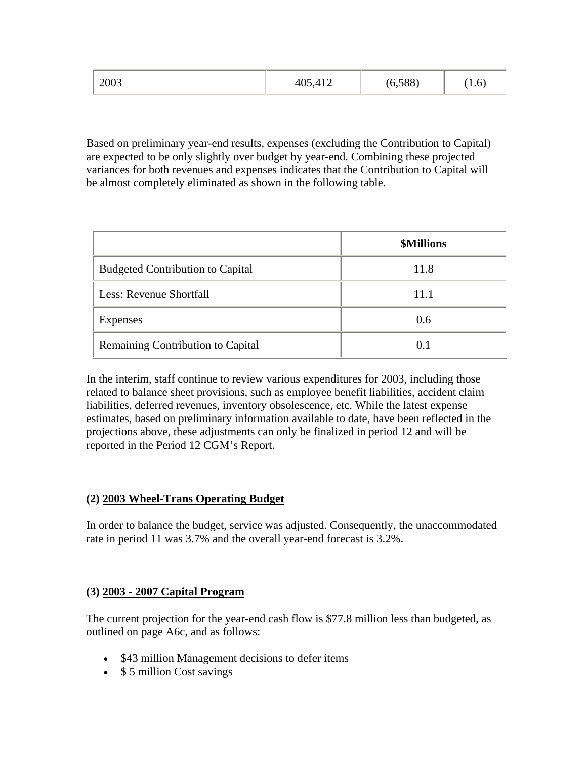| 2003 | 05,412<br>40: | (6,588) | 1.01 |
|------|---------------|---------|------|
|------|---------------|---------|------|

Based on preliminary year-end results, expenses (excluding the Contribution to Capital) are expected to be only slightly over budget by year-end. Combining these projected variances for both revenues and expenses indicates that the Contribution to Capital will be almost completely eliminated as shown in the following table.

|                                         | <b>\$Millions</b> |
|-----------------------------------------|-------------------|
| <b>Budgeted Contribution to Capital</b> | 11.8              |
| Less: Revenue Shortfall                 | 11.1              |
| Expenses                                | 0.6               |
| Remaining Contribution to Capital       | 0.1               |

In the interim, staff continue to review various expenditures for 2003, including those related to balance sheet provisions, such as employee benefit liabilities, accident claim liabilities, deferred revenues, inventory obsolescence, etc. While the latest expense estimates, based on preliminary information available to date, have been reflected in the projections above, these adjustments can only be finalized in period 12 and will be reported in the Period 12 CGM's Report.

### **(2) 2003 Wheel-Trans Operating Budget**

In order to balance the budget, service was adjusted. Consequently, the unaccommodated rate in period 11 was 3.7% and the overall year-end forecast is 3.2%.

#### **(3) 2003 - 2007 Capital Program**

The current projection for the year-end cash flow is \$77.8 million less than budgeted, as outlined on page A6c, and as follows:

- \$43 million Management decisions to defer items
- \$ 5 million Cost savings